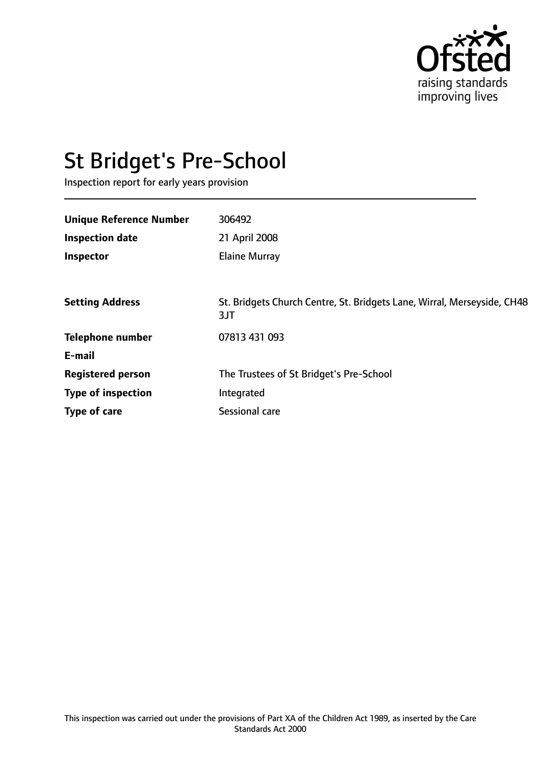

# St Bridget's Pre-School

Inspection report for early years provision

| <b>Unique Reference Number</b> | 306492                                                                         |
|--------------------------------|--------------------------------------------------------------------------------|
| <b>Inspection date</b>         | 21 April 2008                                                                  |
| Inspector                      | <b>Elaine Murray</b>                                                           |
|                                |                                                                                |
| <b>Setting Address</b>         | St. Bridgets Church Centre, St. Bridgets Lane, Wirral, Merseyside, CH48<br>3JT |
| <b>Telephone number</b>        | 07813 431 093                                                                  |
| E-mail                         |                                                                                |
| <b>Registered person</b>       | The Trustees of St Bridget's Pre-School                                        |
| <b>Type of inspection</b>      | Integrated                                                                     |
| Type of care                   | Sessional care                                                                 |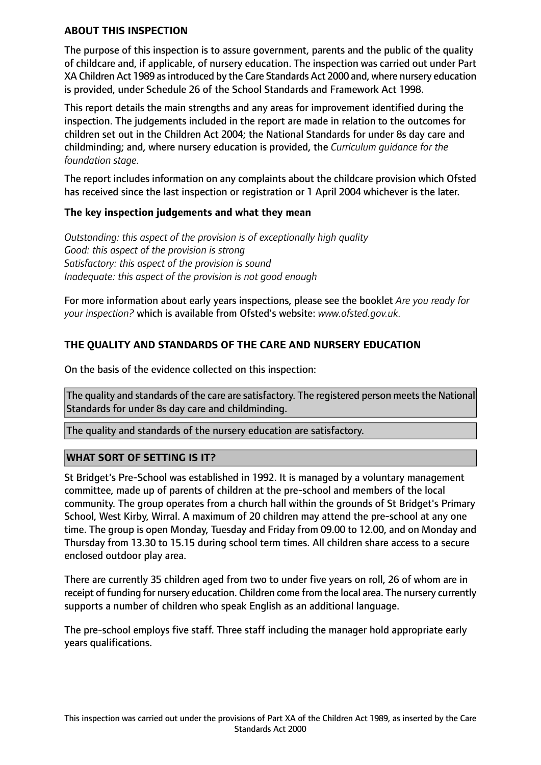#### **ABOUT THIS INSPECTION**

The purpose of this inspection is to assure government, parents and the public of the quality of childcare and, if applicable, of nursery education. The inspection was carried out under Part XA Children Act 1989 as introduced by the Care Standards Act 2000 and, where nursery education is provided, under Schedule 26 of the School Standards and Framework Act 1998.

This report details the main strengths and any areas for improvement identified during the inspection. The judgements included in the report are made in relation to the outcomes for children set out in the Children Act 2004; the National Standards for under 8s day care and childminding; and, where nursery education is provided, the *Curriculum guidance for the foundation stage.*

The report includes information on any complaints about the childcare provision which Ofsted has received since the last inspection or registration or 1 April 2004 whichever is the later.

## **The key inspection judgements and what they mean**

*Outstanding: this aspect of the provision is of exceptionally high quality Good: this aspect of the provision is strong Satisfactory: this aspect of the provision is sound Inadequate: this aspect of the provision is not good enough*

For more information about early years inspections, please see the booklet *Are you ready for your inspection?* which is available from Ofsted's website: *www.ofsted.gov.uk.*

## **THE QUALITY AND STANDARDS OF THE CARE AND NURSERY EDUCATION**

On the basis of the evidence collected on this inspection:

The quality and standards of the care are satisfactory. The registered person meets the National Standards for under 8s day care and childminding.

The quality and standards of the nursery education are satisfactory.

## **WHAT SORT OF SETTING IS IT?**

St Bridget's Pre-School was established in 1992. It is managed by a voluntary management committee, made up of parents of children at the pre-school and members of the local community. The group operates from a church hall within the grounds of St Bridget's Primary School, West Kirby, Wirral. A maximum of 20 children may attend the pre-school at any one time. The group is open Monday, Tuesday and Friday from 09.00 to 12.00, and on Monday and Thursday from 13.30 to 15.15 during school term times. All children share access to a secure enclosed outdoor play area.

There are currently 35 children aged from two to under five years on roll, 26 of whom are in receipt of funding for nursery education. Children come from the local area. The nursery currently supports a number of children who speak English as an additional language.

The pre-school employs five staff. Three staff including the manager hold appropriate early years qualifications.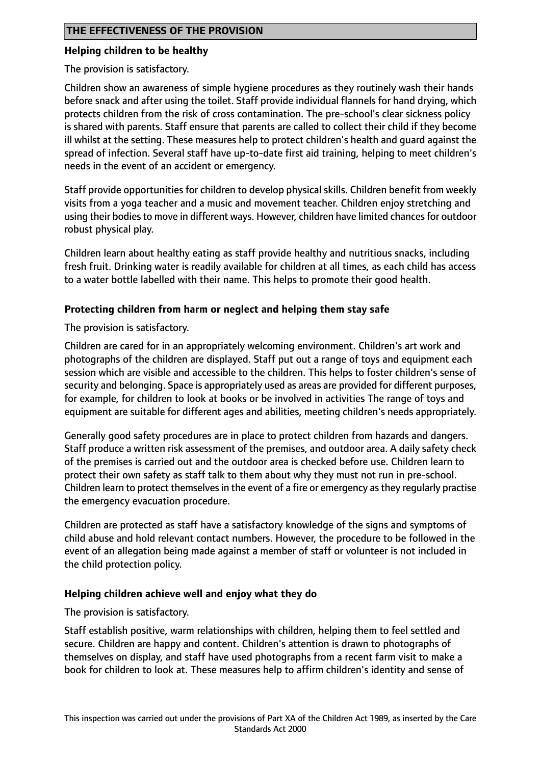## **Helping children to be healthy**

The provision is satisfactory.

Children show an awareness of simple hygiene procedures as they routinely wash their hands before snack and after using the toilet. Staff provide individual flannels for hand drying, which protects children from the risk of cross contamination. The pre-school's clear sickness policy is shared with parents. Staff ensure that parents are called to collect their child if they become ill whilst at the setting. These measures help to protect children's health and guard against the spread of infection. Several staff have up-to-date first aid training, helping to meet children's needs in the event of an accident or emergency.

Staff provide opportunities for children to develop physical skills. Children benefit from weekly visits from a yoga teacher and a music and movement teacher. Children enjoy stretching and using their bodies to move in different ways. However, children have limited chances for outdoor robust physical play.

Children learn about healthy eating as staff provide healthy and nutritious snacks, including fresh fruit. Drinking water is readily available for children at all times, as each child has access to a water bottle labelled with their name. This helps to promote their good health.

## **Protecting children from harm or neglect and helping them stay safe**

The provision is satisfactory.

Children are cared for in an appropriately welcoming environment. Children's art work and photographs of the children are displayed. Staff put out a range of toys and equipment each session which are visible and accessible to the children. This helps to foster children's sense of security and belonging. Space is appropriately used as areas are provided for different purposes, for example, for children to look at books or be involved in activities The range of toys and equipment are suitable for different ages and abilities, meeting children's needs appropriately.

Generally good safety procedures are in place to protect children from hazards and dangers. Staff produce a written risk assessment of the premises, and outdoor area. A daily safety check of the premises is carried out and the outdoor area is checked before use. Children learn to protect their own safety as staff talk to them about why they must not run in pre-school. Children learn to protect themselves in the event of a fire or emergency as they regularly practise the emergency evacuation procedure.

Children are protected as staff have a satisfactory knowledge of the signs and symptoms of child abuse and hold relevant contact numbers. However, the procedure to be followed in the event of an allegation being made against a member of staff or volunteer is not included in the child protection policy.

## **Helping children achieve well and enjoy what they do**

The provision is satisfactory.

Staff establish positive, warm relationships with children, helping them to feel settled and secure. Children are happy and content. Children's attention is drawn to photographs of themselves on display, and staff have used photographs from a recent farm visit to make a book for children to look at. These measures help to affirm children's identity and sense of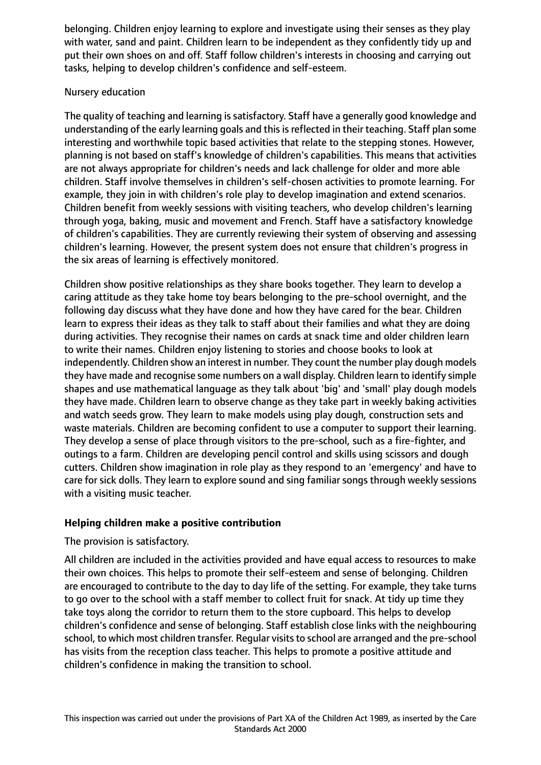belonging. Children enjoy learning to explore and investigate using their senses as they play with water, sand and paint. Children learn to be independent as they confidently tidy up and put their own shoes on and off. Staff follow children's interests in choosing and carrying out tasks, helping to develop children's confidence and self-esteem.

## Nursery education

The quality of teaching and learning is satisfactory. Staff have a generally good knowledge and understanding of the early learning goals and this is reflected in their teaching. Staff plan some interesting and worthwhile topic based activities that relate to the stepping stones. However, planning is not based on staff's knowledge of children's capabilities. This means that activities are not always appropriate for children's needs and lack challenge for older and more able children. Staff involve themselves in children's self-chosen activities to promote learning. For example, they join in with children's role play to develop imagination and extend scenarios. Children benefit from weekly sessions with visiting teachers, who develop children's learning through yoga, baking, music and movement and French. Staff have a satisfactory knowledge of children's capabilities. They are currently reviewing their system of observing and assessing children's learning. However, the present system does not ensure that children's progress in the six areas of learning is effectively monitored.

Children show positive relationships as they share books together. They learn to develop a caring attitude as they take home toy bears belonging to the pre-school overnight, and the following day discuss what they have done and how they have cared for the bear. Children learn to express their ideas as they talk to staff about their families and what they are doing during activities. They recognise their names on cards at snack time and older children learn to write their names. Children enjoy listening to stories and choose books to look at independently. Children show an interest in number. They count the number play dough models they have made and recognise some numbers on a wall display. Children learn to identify simple shapes and use mathematical language as they talk about 'big' and 'small' play dough models they have made. Children learn to observe change as they take part in weekly baking activities and watch seeds grow. They learn to make models using play dough, construction sets and waste materials. Children are becoming confident to use a computer to support their learning. They develop a sense of place through visitors to the pre-school, such as a fire-fighter, and outings to a farm. Children are developing pencil control and skills using scissors and dough cutters. Children show imagination in role play as they respond to an 'emergency' and have to care for sick dolls. They learn to explore sound and sing familiar songs through weekly sessions with a visiting music teacher.

## **Helping children make a positive contribution**

## The provision is satisfactory.

All children are included in the activities provided and have equal access to resources to make their own choices. This helps to promote their self-esteem and sense of belonging. Children are encouraged to contribute to the day to day life of the setting. For example, they take turns to go over to the school with a staff member to collect fruit for snack. At tidy up time they take toys along the corridor to return them to the store cupboard. This helps to develop children's confidence and sense of belonging. Staff establish close links with the neighbouring school, to which most children transfer. Regular visits to school are arranged and the pre-school has visits from the reception class teacher. This helps to promote a positive attitude and children's confidence in making the transition to school.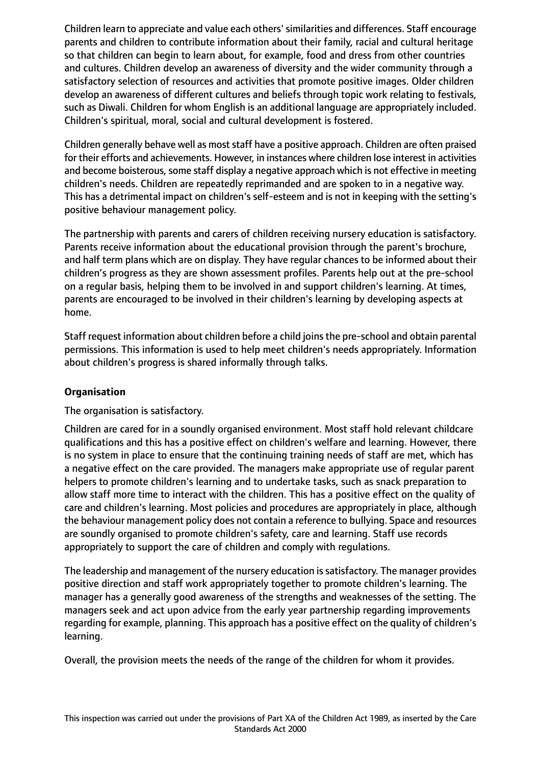Children learn to appreciate and value each others'similarities and differences. Staff encourage parents and children to contribute information about their family, racial and cultural heritage so that children can begin to learn about, for example, food and dress from other countries and cultures. Children develop an awareness of diversity and the wider community through a satisfactory selection of resources and activities that promote positive images. Older children develop an awareness of different cultures and beliefs through topic work relating to festivals, such as Diwali. Children for whom English is an additional language are appropriately included. Children's spiritual, moral, social and cultural development is fostered.

Children generally behave well as most staff have a positive approach. Children are often praised for their efforts and achievements. However, in instances where children lose interest in activities and become boisterous, some staff display a negative approach which is not effective in meeting children's needs. Children are repeatedly reprimanded and are spoken to in a negative way. This has a detrimental impact on children's self-esteem and is not in keeping with the setting's positive behaviour management policy.

The partnership with parents and carers of children receiving nursery education is satisfactory. Parents receive information about the educational provision through the parent's brochure, and half term plans which are on display. They have regular chances to be informed about their children's progress as they are shown assessment profiles. Parents help out at the pre-school on a regular basis, helping them to be involved in and support children's learning. At times, parents are encouraged to be involved in their children's learning by developing aspects at home.

Staff request information about children before a child joinsthe pre-school and obtain parental permissions. This information is used to help meet children's needs appropriately. Information about children's progress is shared informally through talks.

## **Organisation**

The organisation is satisfactory.

Children are cared for in a soundly organised environment. Most staff hold relevant childcare qualifications and this has a positive effect on children's welfare and learning. However, there is no system in place to ensure that the continuing training needs of staff are met, which has a negative effect on the care provided. The managers make appropriate use of regular parent helpers to promote children's learning and to undertake tasks, such as snack preparation to allow staff more time to interact with the children. This has a positive effect on the quality of care and children's learning. Most policies and procedures are appropriately in place, although the behaviour management policy does not contain a reference to bullying. Space and resources are soundly organised to promote children's safety, care and learning. Staff use records appropriately to support the care of children and comply with regulations.

The leadership and management of the nursery education issatisfactory. The manager provides positive direction and staff work appropriately together to promote children's learning. The manager has a generally good awareness of the strengths and weaknesses of the setting. The managers seek and act upon advice from the early year partnership regarding improvements regarding for example, planning. This approach has a positive effect on the quality of children's learning.

Overall, the provision meets the needs of the range of the children for whom it provides.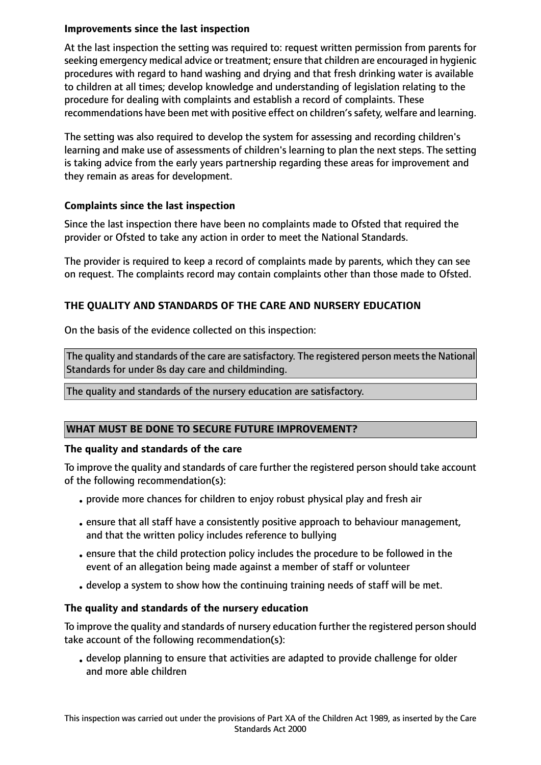## **Improvements since the last inspection**

At the last inspection the setting was required to: request written permission from parents for seeking emergency medical advice or treatment; ensure that children are encouraged in hygienic procedures with regard to hand washing and drying and that fresh drinking water is available to children at all times; develop knowledge and understanding of legislation relating to the procedure for dealing with complaints and establish a record of complaints. These recommendations have been met with positive effect on children'ssafety, welfare and learning.

The setting was also required to develop the system for assessing and recording children's learning and make use of assessments of children's learning to plan the next steps. The setting is taking advice from the early years partnership regarding these areas for improvement and they remain as areas for development.

## **Complaints since the last inspection**

Since the last inspection there have been no complaints made to Ofsted that required the provider or Ofsted to take any action in order to meet the National Standards.

The provider is required to keep a record of complaints made by parents, which they can see on request. The complaints record may contain complaints other than those made to Ofsted.

# **THE QUALITY AND STANDARDS OF THE CARE AND NURSERY EDUCATION**

On the basis of the evidence collected on this inspection:

The quality and standards of the care are satisfactory. The registered person meets the National Standards for under 8s day care and childminding.

## The quality and standards of the nursery education are satisfactory.

# **WHAT MUST BE DONE TO SECURE FUTURE IMPROVEMENT?**

## **The quality and standards of the care**

To improve the quality and standards of care further the registered person should take account of the following recommendation(s):

- provide more chances for children to enjoy robust physical play and fresh air
- •ensure that all staff have a consistently positive approach to behaviour management, and that the written policy includes reference to bullying
- •ensure that the child protection policy includes the procedure to be followed in the event of an allegation being made against a member of staff or volunteer
- develop a system to show how the continuing training needs of staff will be met.

# **The quality and standards of the nursery education**

To improve the quality and standards of nursery education further the registered person should take account of the following recommendation(s):

• develop planning to ensure that activities are adapted to provide challenge for older and more able children